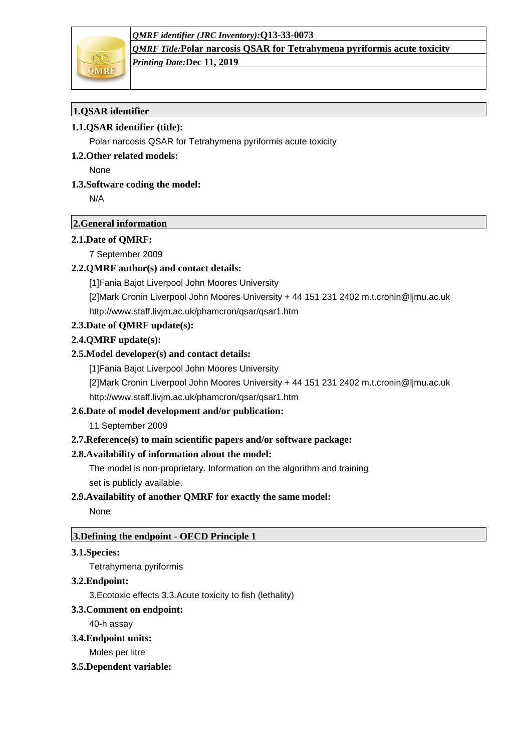

*QMRF Title:***Polar narcosis QSAR for Tetrahymena pyriformis acute toxicity** *Printing Date:***Dec 11, 2019**

# **1.QSAR identifier**

## **1.1.QSAR identifier (title):**

Polar narcosis QSAR for Tetrahymena pyriformis acute toxicity

#### **1.2.Other related models:**

None

## **1.3.Software coding the model:**

N/A

## **2.General information**

#### **2.1.Date of QMRF:**

7 September 2009

## **2.2.QMRF author(s) and contact details:**

[1]Fania Bajot Liverpool John Moores University

[2]Mark Cronin Liverpool John Moores University + 44 151 231 2402 m.t.cronin@ljmu.ac.uk http://www.staff.livjm.ac.uk/phamcron/qsar/qsar1.htm

## **2.3.Date of QMRF update(s):**

## **2.4.QMRF update(s):**

## **2.5.Model developer(s) and contact details:**

[1]Fania Bajot Liverpool John Moores University [2]Mark Cronin Liverpool John Moores University + 44 151 231 2402 m.t.cronin@ljmu.ac.uk

http://www.staff.livjm.ac.uk/phamcron/qsar/qsar1.htm

## **2.6.Date of model development and/or publication:**

11 September 2009

## **2.7.Reference(s) to main scientific papers and/or software package:**

## **2.8.Availability of information about the model:**

The model is non-proprietary. Information on the algorithm and training set is publicly available.

## **2.9.Availability of another QMRF for exactly the same model:**

None

## **3.Defining the endpoint - OECD Principle 1**

#### **3.1.Species:**

Tetrahymena pyriformis

#### **3.2.Endpoint:**

3.Ecotoxic effects 3.3.Acute toxicity to fish (lethality)

## **3.3.Comment on endpoint:**

40-h assay

#### **3.4.Endpoint units:**

Moles per litre

## **3.5.Dependent variable:**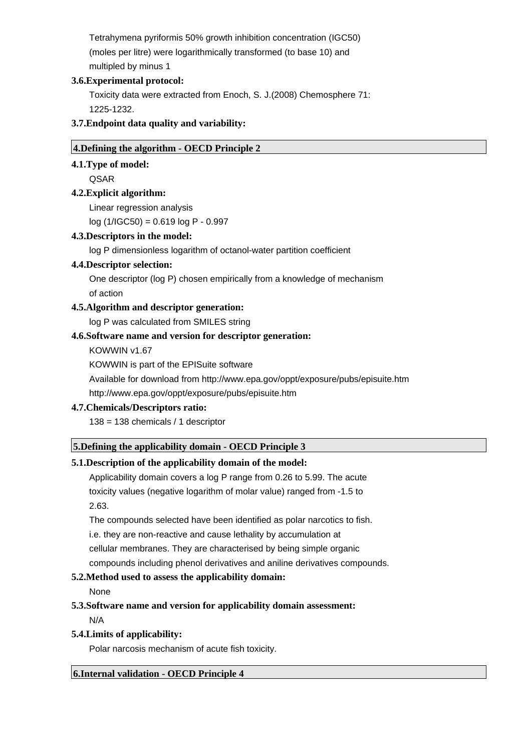Tetrahymena pyriformis 50% growth inhibition concentration (IGC50) (moles per litre) were logarithmically transformed (to base 10) and multipled by minus 1

#### **3.6.Experimental protocol:**

Toxicity data were extracted from Enoch, S. J.(2008) Chemosphere 71: 1225-1232.

## **3.7.Endpoint data quality and variability:**

## **4.Defining the algorithm - OECD Principle 2**

## **4.1.Type of model:**

QSAR

# **4.2.Explicit algorithm:**

Linear regression analysis

log (1/IGC50) = 0.619 log P - 0.997

# **4.3.Descriptors in the model:**

log P dimensionless logarithm of octanol-water partition coefficient

# **4.4.Descriptor selection:**

One descriptor (log P) chosen empirically from a knowledge of mechanism of action

# **4.5.Algorithm and descriptor generation:**

log P was calculated from SMILES string

# **4.6.Software name and version for descriptor generation:**

KOWWIN v1.67

KOWWIN is part of the EPISuite software

Available for download from http://www.epa.gov/oppt/exposure/pubs/episuite.htm

http://www.epa.gov/oppt/exposure/pubs/episuite.htm

## **4.7.Chemicals/Descriptors ratio:**

138 = 138 chemicals / 1 descriptor

## **5.Defining the applicability domain - OECD Principle 3**

# **5.1.Description of the applicability domain of the model:**

Applicability domain covers a log P range from 0.26 to 5.99. The acute toxicity values (negative logarithm of molar value) ranged from -1.5 to 2.63.

The compounds selected have been identified as polar narcotics to fish. i.e. they are non-reactive and cause lethality by accumulation at cellular membranes. They are characterised by being simple organic compounds including phenol derivatives and aniline derivatives compounds.

# **5.2.Method used to assess the applicability domain:**

None

## **5.3.Software name and version for applicability domain assessment:**

N/A

## **5.4.Limits of applicability:**

Polar narcosis mechanism of acute fish toxicity.

## **6.Internal validation - OECD Principle 4**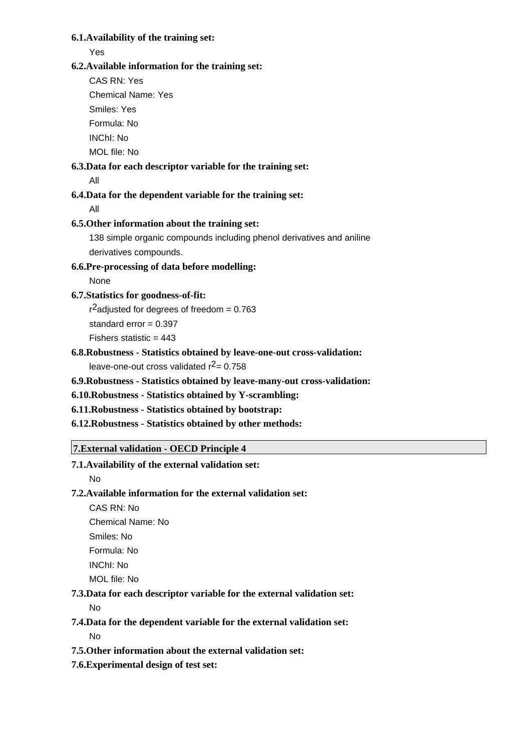#### **6.1.Availability of the training set:**

#### Yes

#### **6.2.Available information for the training set:**

CAS RN: Yes

Chemical Name: Yes

Smiles: Yes

Formula: No

INChI: No

MOL file: No

# **6.3.Data for each descriptor variable for the training set:**

All

# **6.4.Data for the dependent variable for the training set:**

All

# **6.5.Other information about the training set:**

138 simple organic compounds including phenol derivatives and aniline derivatives compounds.

# **6.6.Pre-processing of data before modelling:**

None

# **6.7.Statistics for goodness-of-fit:**

 $r^2$ adjusted for degrees of freedom = 0.763

standard  $error = 0.397$ 

Fishers statistic =  $443$ 

# **6.8.Robustness - Statistics obtained by leave-one-out cross-validation:** leave-one-out cross validated  $r^2$  = 0.758

## **6.9.Robustness - Statistics obtained by leave-many-out cross-validation:**

**6.10.Robustness - Statistics obtained by Y-scrambling:**

## **6.11.Robustness - Statistics obtained by bootstrap:**

**6.12.Robustness - Statistics obtained by other methods:**

## **7.External validation - OECD Principle 4**

# **7.1.Availability of the external validation set:**

No

# **7.2.Available information for the external validation set:**

CAS RN: No Chemical Name: No

Smiles: No

Formula: No

INChI: No

MOL file: No

# **7.3.Data for each descriptor variable for the external validation set:**

No

# **7.4.Data for the dependent variable for the external validation set:**

No

# **7.5.Other information about the external validation set:**

**7.6.Experimental design of test set:**